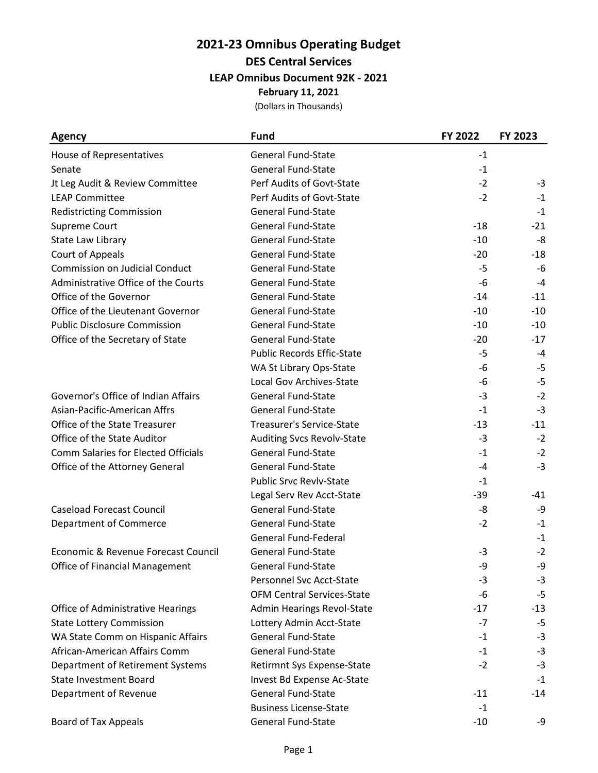### **2021-23 Omnibus Operating Budget DES Central Services LEAP Omnibus Document 92K - 2021**

**February 11, 2021**

| <b>Agency</b>                              | <b>Fund</b>                       | FY 2022 | FY 2023 |
|--------------------------------------------|-----------------------------------|---------|---------|
| House of Representatives                   | <b>General Fund-State</b>         | $-1$    |         |
| Senate                                     | <b>General Fund-State</b>         | $-1$    |         |
| Jt Leg Audit & Review Committee            | Perf Audits of Govt-State         | $-2$    | $-3$    |
| <b>LEAP Committee</b>                      | Perf Audits of Govt-State         | $-2$    | $-1$    |
| <b>Redistricting Commission</b>            | <b>General Fund-State</b>         |         | $-1$    |
| Supreme Court                              | <b>General Fund-State</b>         | $-18$   | $-21$   |
| State Law Library                          | <b>General Fund-State</b>         | $-10$   | $-8$    |
| Court of Appeals                           | <b>General Fund-State</b>         | $-20$   | $-18$   |
| <b>Commission on Judicial Conduct</b>      | <b>General Fund-State</b>         | $-5$    | $-6$    |
| Administrative Office of the Courts        | <b>General Fund-State</b>         | -6      | $-4$    |
| Office of the Governor                     | <b>General Fund-State</b>         | $-14$   | $-11$   |
| Office of the Lieutenant Governor          | <b>General Fund-State</b>         | $-10$   | $-10$   |
| <b>Public Disclosure Commission</b>        | <b>General Fund-State</b>         | $-10$   | $-10$   |
| Office of the Secretary of State           | <b>General Fund-State</b>         | $-20$   | $-17$   |
|                                            | <b>Public Records Effic-State</b> | -5      | $-4$    |
|                                            | WA St Library Ops-State           | -6      | $-5$    |
|                                            | <b>Local Gov Archives-State</b>   | -6      | $-5$    |
| Governor's Office of Indian Affairs        | <b>General Fund-State</b>         | $-3$    | $-2$    |
| Asian-Pacific-American Affrs               | <b>General Fund-State</b>         | $-1$    | $-3$    |
| Office of the State Treasurer              | <b>Treasurer's Service-State</b>  | $-13$   | $-11$   |
| Office of the State Auditor                | <b>Auditing Svcs Revolv-State</b> | $-3$    | $-2$    |
| <b>Comm Salaries for Elected Officials</b> | <b>General Fund-State</b>         | $-1$    | $-2$    |
| Office of the Attorney General             | General Fund-State                | $-4$    | $-3$    |
|                                            | <b>Public Srvc Revlv-State</b>    | $-1$    |         |
|                                            | Legal Serv Rev Acct-State         | -39     | -41     |
| <b>Caseload Forecast Council</b>           | <b>General Fund-State</b>         | -8      | -9      |
| <b>Department of Commerce</b>              | <b>General Fund-State</b>         | $-2$    | $-1$    |
|                                            | <b>General Fund-Federal</b>       |         | $-1$    |
| Economic & Revenue Forecast Council        | <b>General Fund-State</b>         | $-3$    | $-2$    |
| Office of Financial Management             | <b>General Fund-State</b>         | -9      | -9      |
|                                            | Personnel Svc Acct-State          | -3      | $-3$    |
|                                            | <b>OFM Central Services-State</b> | -6      | $-5$    |
| Office of Administrative Hearings          | <b>Admin Hearings Revol-State</b> | $-17$   | $-13$   |
| <b>State Lottery Commission</b>            | Lottery Admin Acct-State          | -7      | $-5$    |
| WA State Comm on Hispanic Affairs          | <b>General Fund-State</b>         | $-1$    | $-3$    |
| African-American Affairs Comm              | <b>General Fund-State</b>         | $-1$    | $-3$    |
| Department of Retirement Systems           | Retirmnt Sys Expense-State        | $-2$    | $-3$    |
| <b>State Investment Board</b>              | Invest Bd Expense Ac-State        |         | $-1$    |
| Department of Revenue                      | <b>General Fund-State</b>         | $-11$   | -14     |
|                                            | <b>Business License-State</b>     | $-1$    |         |
| <b>Board of Tax Appeals</b>                | <b>General Fund-State</b>         | $-10$   | -9      |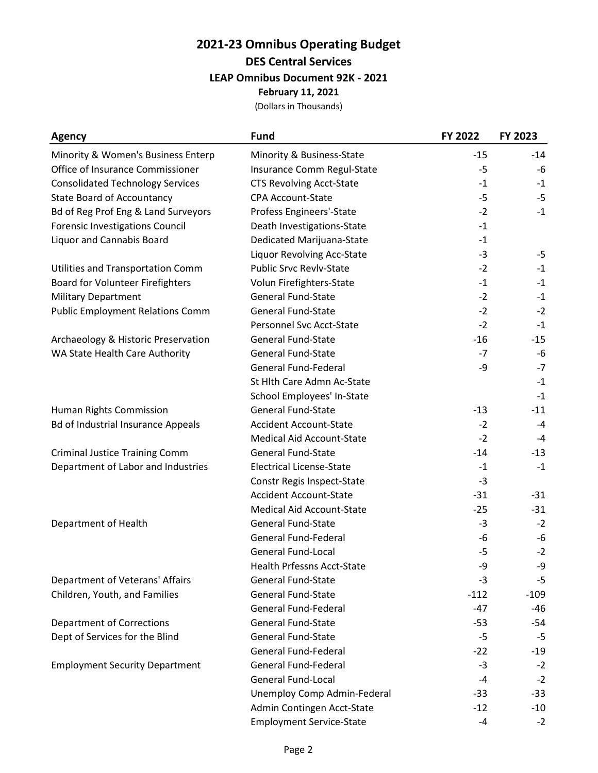### **2021-23 Omnibus Operating Budget DES Central Services LEAP Omnibus Document 92K - 2021 February 11, 2021**

| <b>Agency</b>                             | <b>Fund</b>                       | FY 2022 | FY 2023 |
|-------------------------------------------|-----------------------------------|---------|---------|
| Minority & Women's Business Enterp        | Minority & Business-State         | $-15$   | $-14$   |
| Office of Insurance Commissioner          | Insurance Comm Regul-State        | $-5$    | -6      |
| <b>Consolidated Technology Services</b>   | <b>CTS Revolving Acct-State</b>   | $-1$    | $-1$    |
| <b>State Board of Accountancy</b>         | <b>CPA Account-State</b>          | $-5$    | $-5$    |
| Bd of Reg Prof Eng & Land Surveyors       | Profess Engineers'-State          | $-2$    | $-1$    |
| <b>Forensic Investigations Council</b>    | Death Investigations-State        | $-1$    |         |
| <b>Liquor and Cannabis Board</b>          | Dedicated Marijuana-State         | $-1$    |         |
|                                           | Liquor Revolving Acc-State        | $-3$    | $-5$    |
| Utilities and Transportation Comm         | <b>Public Srvc Revlv-State</b>    | $-2$    | $-1$    |
| Board for Volunteer Firefighters          | Volun Firefighters-State          | $-1$    | $-1$    |
| <b>Military Department</b>                | <b>General Fund-State</b>         | $-2$    | $-1$    |
| <b>Public Employment Relations Comm</b>   | <b>General Fund-State</b>         | $-2$    | $-2$    |
|                                           | Personnel Svc Acct-State          | $-2$    | $-1$    |
| Archaeology & Historic Preservation       | <b>General Fund-State</b>         | $-16$   | $-15$   |
| WA State Health Care Authority            | <b>General Fund-State</b>         | $-7$    | -6      |
|                                           | <b>General Fund-Federal</b>       | -9      | $-7$    |
|                                           | St Hlth Care Admn Ac-State        |         | $-1$    |
|                                           | School Employees' In-State        |         | $-1$    |
| Human Rights Commission                   | <b>General Fund-State</b>         | $-13$   | $-11$   |
| <b>Bd of Industrial Insurance Appeals</b> | <b>Accident Account-State</b>     | $-2$    | $-4$    |
|                                           | <b>Medical Aid Account-State</b>  | $-2$    | $-4$    |
| <b>Criminal Justice Training Comm</b>     | <b>General Fund-State</b>         | $-14$   | $-13$   |
| Department of Labor and Industries        | <b>Electrical License-State</b>   | $-1$    | $-1$    |
|                                           | Constr Regis Inspect-State        | $-3$    |         |
|                                           | <b>Accident Account-State</b>     | $-31$   | $-31$   |
|                                           | <b>Medical Aid Account-State</b>  | $-25$   | $-31$   |
| Department of Health                      | <b>General Fund-State</b>         | $-3$    | $-2$    |
|                                           | <b>General Fund-Federal</b>       | $-6$    | -6      |
|                                           | <b>General Fund-Local</b>         | $-5$    | $-2$    |
|                                           | <b>Health Prfessns Acct-State</b> | -9      | -9      |
| Department of Veterans' Affairs           | <b>General Fund-State</b>         | -3      | $-5$    |
| Children, Youth, and Families             | <b>General Fund-State</b>         | $-112$  | $-109$  |
|                                           | <b>General Fund-Federal</b>       | $-47$   | -46     |
| <b>Department of Corrections</b>          | <b>General Fund-State</b>         | $-53$   | $-54$   |
| Dept of Services for the Blind            | <b>General Fund-State</b>         | $-5$    | $-5$    |
|                                           | <b>General Fund-Federal</b>       | $-22$   | $-19$   |
| <b>Employment Security Department</b>     | <b>General Fund-Federal</b>       | $-3$    | $-2$    |
|                                           | <b>General Fund-Local</b>         | $-4$    | $-2$    |
|                                           | Unemploy Comp Admin-Federal       | $-33$   | $-33$   |
|                                           | Admin Contingen Acct-State        | $-12$   | $-10$   |
|                                           | <b>Employment Service-State</b>   | $-4$    | $-2$    |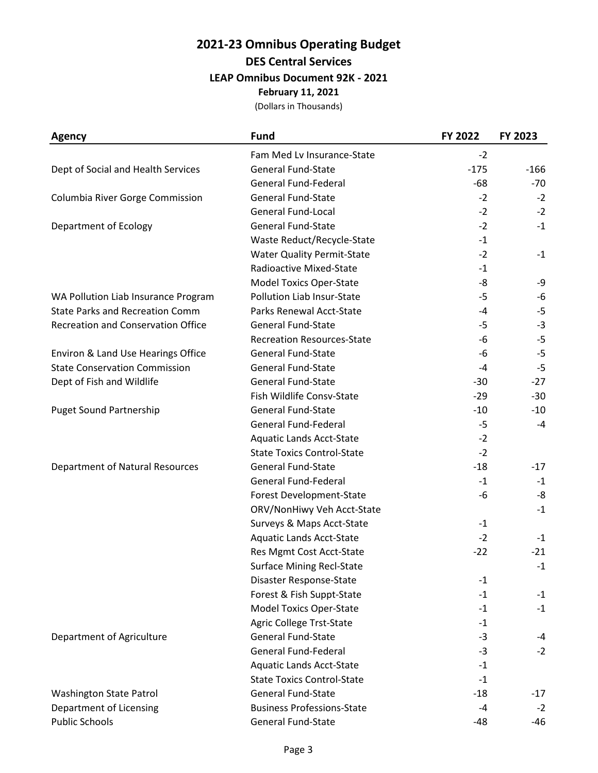## **2021-23 Omnibus Operating Budget DES Central Services LEAP Omnibus Document 92K - 2021**

**February 11, 2021**

| <b>Agency</b>                             | <b>Fund</b>                       | FY 2022 | FY 2023 |
|-------------------------------------------|-----------------------------------|---------|---------|
|                                           | Fam Med Lv Insurance-State        | $-2$    |         |
| Dept of Social and Health Services        | <b>General Fund-State</b>         | $-175$  | $-166$  |
|                                           | <b>General Fund-Federal</b>       | -68     | $-70$   |
| Columbia River Gorge Commission           | <b>General Fund-State</b>         | $-2$    | $-2$    |
|                                           | <b>General Fund-Local</b>         | $-2$    | $-2$    |
| Department of Ecology                     | <b>General Fund-State</b>         | $-2$    | $-1$    |
|                                           | Waste Reduct/Recycle-State        | $-1$    |         |
|                                           | <b>Water Quality Permit-State</b> | $-2$    | $-1$    |
|                                           | Radioactive Mixed-State           | $-1$    |         |
|                                           | <b>Model Toxics Oper-State</b>    | -8      | -9      |
| WA Pollution Liab Insurance Program       | Pollution Liab Insur-State        | $-5$    | -6      |
| <b>State Parks and Recreation Comm</b>    | Parks Renewal Acct-State          | $-4$    | $-5$    |
| <b>Recreation and Conservation Office</b> | <b>General Fund-State</b>         | $-5$    | $-3$    |
|                                           | <b>Recreation Resources-State</b> | -6      | $-5$    |
| Environ & Land Use Hearings Office        | <b>General Fund-State</b>         | -6      | $-5$    |
| <b>State Conservation Commission</b>      | <b>General Fund-State</b>         | $-4$    | $-5$    |
| Dept of Fish and Wildlife                 | <b>General Fund-State</b>         | $-30$   | $-27$   |
|                                           | Fish Wildlife Consv-State         | $-29$   | $-30$   |
| <b>Puget Sound Partnership</b>            | <b>General Fund-State</b>         | $-10$   | $-10$   |
|                                           | <b>General Fund-Federal</b>       | -5      | $-4$    |
|                                           | <b>Aquatic Lands Acct-State</b>   | $-2$    |         |
|                                           | <b>State Toxics Control-State</b> | $-2$    |         |
| Department of Natural Resources           | <b>General Fund-State</b>         | $-18$   | $-17$   |
|                                           | <b>General Fund-Federal</b>       | $-1$    | $-1$    |
|                                           | Forest Development-State          | -6      | -8      |
|                                           | ORV/NonHiwy Veh Acct-State        |         | $-1$    |
|                                           | Surveys & Maps Acct-State         | $-1$    |         |
|                                           | <b>Aquatic Lands Acct-State</b>   | $-2$    | $-1$    |
|                                           | Res Mgmt Cost Acct-State          | $-22$   | $-21$   |
|                                           | <b>Surface Mining Recl-State</b>  |         | $-1$    |
|                                           | Disaster Response-State           | $-1$    |         |
|                                           | Forest & Fish Suppt-State         | $-1$    | $-1$    |
|                                           | <b>Model Toxics Oper-State</b>    | $-1$    | $-1$    |
|                                           | <b>Agric College Trst-State</b>   | $-1$    |         |
| Department of Agriculture                 | <b>General Fund-State</b>         | $-3$    | $-4$    |
|                                           | <b>General Fund-Federal</b>       | $-3$    | $-2$    |
|                                           | <b>Aquatic Lands Acct-State</b>   | $-1$    |         |
|                                           | <b>State Toxics Control-State</b> | $-1$    |         |
| Washington State Patrol                   | <b>General Fund-State</b>         | $-18$   | $-17$   |
| Department of Licensing                   | <b>Business Professions-State</b> | $-4$    | $-2$    |
| <b>Public Schools</b>                     | <b>General Fund-State</b>         | -48     | $-46$   |